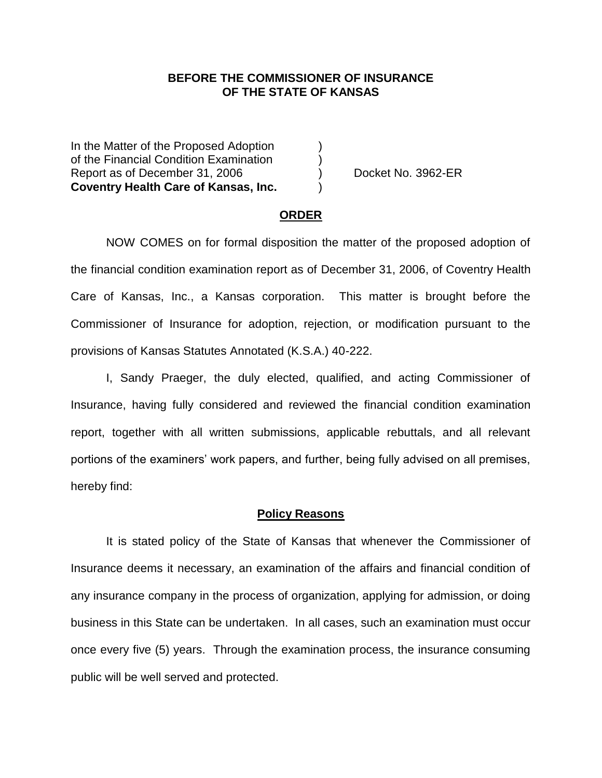### **BEFORE THE COMMISSIONER OF INSURANCE OF THE STATE OF KANSAS**

In the Matter of the Proposed Adoption of the Financial Condition Examination ) Report as of December 31, 2006 (a) Bocket No. 3962-ER **Coventry Health Care of Kansas, Inc.** )

#### **ORDER**

NOW COMES on for formal disposition the matter of the proposed adoption of the financial condition examination report as of December 31, 2006, of Coventry Health Care of Kansas, Inc., a Kansas corporation. This matter is brought before the Commissioner of Insurance for adoption, rejection, or modification pursuant to the provisions of Kansas Statutes Annotated (K.S.A.) 40-222.

I, Sandy Praeger, the duly elected, qualified, and acting Commissioner of Insurance, having fully considered and reviewed the financial condition examination report, together with all written submissions, applicable rebuttals, and all relevant portions of the examiners' work papers, and further, being fully advised on all premises, hereby find:

#### **Policy Reasons**

It is stated policy of the State of Kansas that whenever the Commissioner of Insurance deems it necessary, an examination of the affairs and financial condition of any insurance company in the process of organization, applying for admission, or doing business in this State can be undertaken. In all cases, such an examination must occur once every five (5) years. Through the examination process, the insurance consuming public will be well served and protected.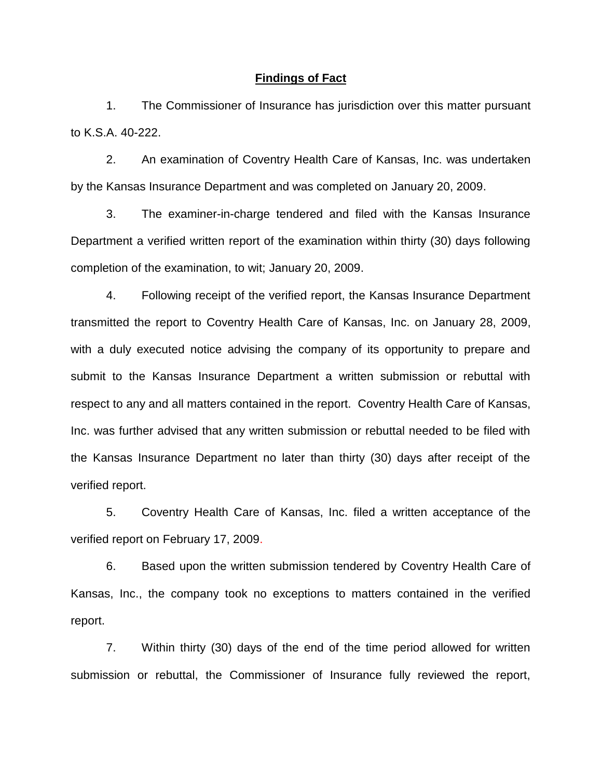### **Findings of Fact**

1. The Commissioner of Insurance has jurisdiction over this matter pursuant to K.S.A. 40-222.

2. An examination of Coventry Health Care of Kansas, Inc. was undertaken by the Kansas Insurance Department and was completed on January 20, 2009.

3. The examiner-in-charge tendered and filed with the Kansas Insurance Department a verified written report of the examination within thirty (30) days following completion of the examination, to wit; January 20, 2009.

4. Following receipt of the verified report, the Kansas Insurance Department transmitted the report to Coventry Health Care of Kansas, Inc. on January 28, 2009, with a duly executed notice advising the company of its opportunity to prepare and submit to the Kansas Insurance Department a written submission or rebuttal with respect to any and all matters contained in the report. Coventry Health Care of Kansas, Inc. was further advised that any written submission or rebuttal needed to be filed with the Kansas Insurance Department no later than thirty (30) days after receipt of the verified report.

5. Coventry Health Care of Kansas, Inc. filed a written acceptance of the verified report on February 17, 2009.

6. Based upon the written submission tendered by Coventry Health Care of Kansas, Inc., the company took no exceptions to matters contained in the verified report.

7. Within thirty (30) days of the end of the time period allowed for written submission or rebuttal, the Commissioner of Insurance fully reviewed the report,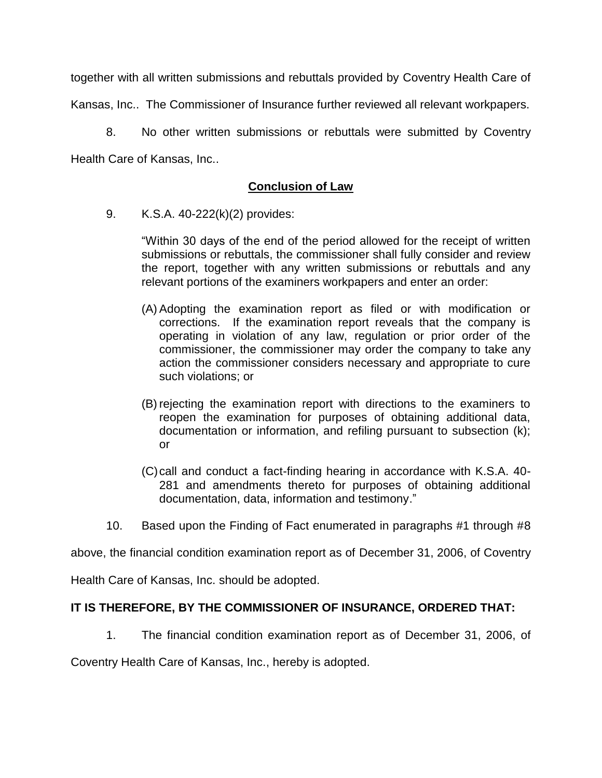together with all written submissions and rebuttals provided by Coventry Health Care of

Kansas, Inc.. The Commissioner of Insurance further reviewed all relevant workpapers.

8. No other written submissions or rebuttals were submitted by Coventry Health Care of Kansas, Inc..

# **Conclusion of Law**

9. K.S.A. 40-222(k)(2) provides:

"Within 30 days of the end of the period allowed for the receipt of written submissions or rebuttals, the commissioner shall fully consider and review the report, together with any written submissions or rebuttals and any relevant portions of the examiners workpapers and enter an order:

- (A) Adopting the examination report as filed or with modification or corrections. If the examination report reveals that the company is operating in violation of any law, regulation or prior order of the commissioner, the commissioner may order the company to take any action the commissioner considers necessary and appropriate to cure such violations; or
- (B) rejecting the examination report with directions to the examiners to reopen the examination for purposes of obtaining additional data, documentation or information, and refiling pursuant to subsection (k); or
- (C)call and conduct a fact-finding hearing in accordance with K.S.A. 40- 281 and amendments thereto for purposes of obtaining additional documentation, data, information and testimony."
- 10. Based upon the Finding of Fact enumerated in paragraphs #1 through #8

above, the financial condition examination report as of December 31, 2006, of Coventry

Health Care of Kansas, Inc. should be adopted.

## **IT IS THEREFORE, BY THE COMMISSIONER OF INSURANCE, ORDERED THAT:**

1. The financial condition examination report as of December 31, 2006, of

Coventry Health Care of Kansas, Inc., hereby is adopted.